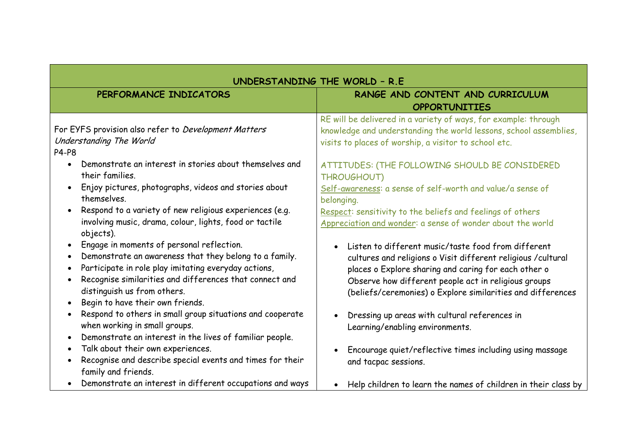| UNDERSTANDING THE WORLD - R.E                                                                                                                                                                                                                                                                                                                              |                                                                                                                                                                                                                                                                                                     |
|------------------------------------------------------------------------------------------------------------------------------------------------------------------------------------------------------------------------------------------------------------------------------------------------------------------------------------------------------------|-----------------------------------------------------------------------------------------------------------------------------------------------------------------------------------------------------------------------------------------------------------------------------------------------------|
| PERFORMANCE INDICATORS                                                                                                                                                                                                                                                                                                                                     | RANGE AND CONTENT AND CURRICULUM                                                                                                                                                                                                                                                                    |
|                                                                                                                                                                                                                                                                                                                                                            | <b>OPPORTUNITIES</b>                                                                                                                                                                                                                                                                                |
| For EYFS provision also refer to Development Matters<br>Understanding The World<br><b>P4-P8</b>                                                                                                                                                                                                                                                            | RE will be delivered in a variety of ways, for example: through<br>knowledge and understanding the world lessons, school assemblies,<br>visits to places of worship, a visitor to school etc.                                                                                                       |
| Demonstrate an interest in stories about themselves and<br>$\bullet$<br>their families.                                                                                                                                                                                                                                                                    | ATTITUDES: (THE FOLLOWING SHOULD BE CONSIDERED<br>THROUGHOUT)                                                                                                                                                                                                                                       |
| Enjoy pictures, photographs, videos and stories about<br>$\bullet$<br>themselves.                                                                                                                                                                                                                                                                          | Self-awareness: a sense of self-worth and value/a sense of<br>belonging.                                                                                                                                                                                                                            |
| Respond to a variety of new religious experiences (e.g.<br>$\bullet$<br>involving music, drama, colour, lights, food or tactile<br>objects).                                                                                                                                                                                                               | Respect: sensitivity to the beliefs and feelings of others<br>Appreciation and wonder: a sense of wonder about the world                                                                                                                                                                            |
| Engage in moments of personal reflection.<br>$\bullet$<br>Demonstrate an awareness that they belong to a family.<br>$\bullet$<br>Participate in role play imitating everyday actions,<br>$\bullet$<br>Recognise similarities and differences that connect and<br>$\bullet$<br>distinguish us from others.<br>Begin to have their own friends.<br>$\bullet$ | Listen to different music/taste food from different<br>cultures and religions o Visit different religious / cultural<br>places o Explore sharing and caring for each other o<br>Observe how different people act in religious groups<br>(beliefs/ceremonies) o Explore similarities and differences |
| Respond to others in small group situations and cooperate<br>$\bullet$<br>when working in small groups.<br>Demonstrate an interest in the lives of familiar people.<br>$\bullet$                                                                                                                                                                           | Dressing up areas with cultural references in<br>Learning/enabling environments.                                                                                                                                                                                                                    |
| Talk about their own experiences.<br>$\bullet$<br>Recognise and describe special events and times for their<br>$\bullet$<br>family and friends.                                                                                                                                                                                                            | Encourage quiet/reflective times including using massage<br>and tacpac sessions.                                                                                                                                                                                                                    |
| Demonstrate an interest in different occupations and ways                                                                                                                                                                                                                                                                                                  | Help children to learn the names of children in their class by                                                                                                                                                                                                                                      |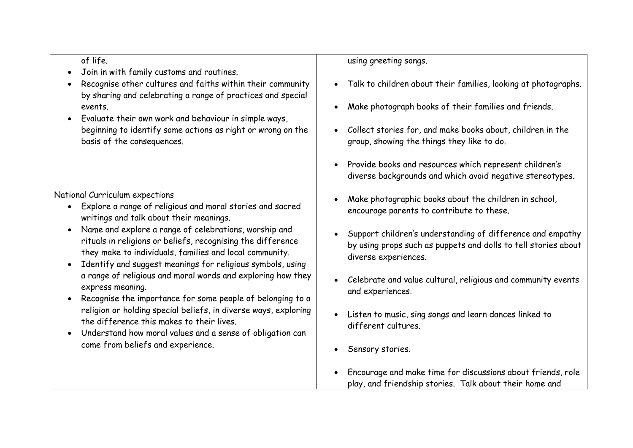## of life.

- Join in with family customs and routines.
- Recognise other cultures and faiths within their community by sharing and celebrating a range of practices and special events.
- Evaluate their own work and behaviour in simple ways, beginning to identify some actions as right or wrong on the basis of the consequences.

National Curriculum expections

- Explore a range of religious and moral stories and sacred writings and talk about their meanings.
- Name and explore a range of celebrations, worship and rituals in religions or beliefs, recognising the difference they make to individuals, families and local community.
- Identify and suggest meanings for religious symbols, using a range of religious and moral words and exploring how they express meaning.
- Recognise the importance for some people of belonging to a religion or holding special beliefs, in diverse ways, exploring the difference this makes to their lives.
- Understand how moral values and a sense of obligation can come from beliefs and experience.

## using greeting songs.

- Talk to children about their families, looking at photographs.
- Make photograph books of their families and friends.
- Collect stories for, and make books about, children in the group, showing the things they like to do.
- Provide books and resources which represent children's diverse backgrounds and which avoid negative stereotypes.
- Make photographic books about the children in school, encourage parents to contribute to these.
- Support children's understanding of difference and empathy by using props such as puppets and dolls to tell stories about diverse experiences.
- Celebrate and value cultural, religious and community events and experiences.
- Listen to music, sing songs and learn dances linked to different cultures.
- Sensory stories.
- Encourage and make time for discussions about friends, role play, and friendship stories. Talk about their home and